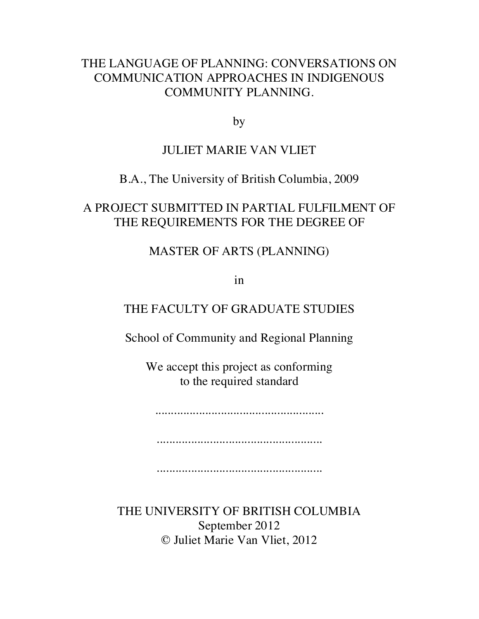## THE LANGUAGE OF PLANNING: CONVERSATIONS ON COMMUNICATION APPROACHES IN INDIGENOUS COMMUNITY PLANNING.

by

## JULIET MARIE VAN VLIET

## B.A., The University of British Columbia, 2009

## A PROJECT SUBMITTED IN PARTIAL FULFILMENT OF THE REQUIREMENTS FOR THE DEGREE OF

## MASTER OF ARTS (PLANNING)

in

## THE FACULTY OF GRADUATE STUDIES

School of Community and Regional Planning

We accept this project as conforming to the required standard

......................................................

.....................................................

.....................................................

THE UNIVERSITY OF BRITISH COLUMBIA September 2012 © Juliet Marie Van Vliet, 2012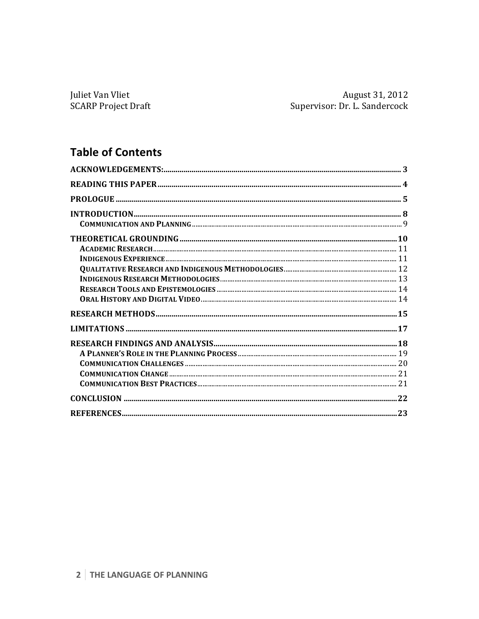Juliet Van Vliet **SCARP Project Draft** 

## **Table of Contents**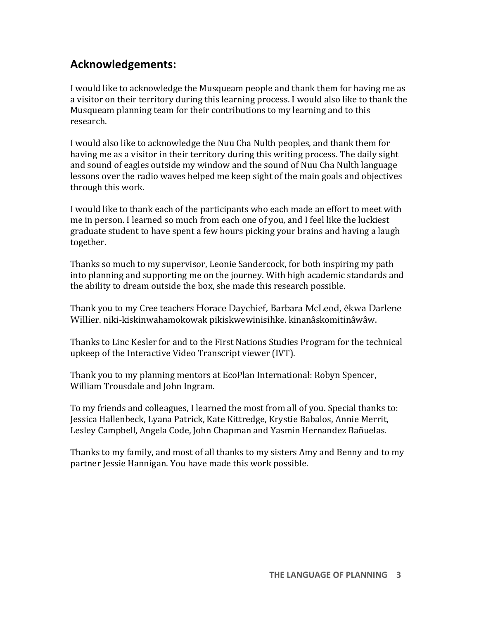## **Acknowledgements:**

I would like to acknowledge the Musqueam people and thank them for having me as a visitor on their territory during this learning process. I would also like to thank the Musqueam planning team for their contributions to my learning and to this research. 

I would also like to acknowledge the Nuu Cha Nulth peoples, and thank them for having me as a visitor in their territory during this writing process. The daily sight and sound of eagles outside my window and the sound of Nuu Cha Nulth language lessons over the radio waves helped me keep sight of the main goals and objectives through this work.

I would like to thank each of the participants who each made an effort to meet with me in person. I learned so much from each one of you, and I feel like the luckiest graduate student to have spent a few hours picking your brains and having a laugh together. 

Thanks so much to my supervisor, Leonie Sandercock, for both inspiring my path into planning and supporting me on the journey. With high academic standards and the ability to dream outside the box, she made this research possible.

Thank you to my Cree teachers Horace Daychief, Barbara McLeod, êkwa Darlene Willier. niki-kiskinwahamokowak pikiskwewinisihke. kinanâskomitinâwâw.

Thanks to Linc Kesler for and to the First Nations Studies Program for the technical upkeep of the Interactive Video Transcript viewer (IVT).

Thank you to my planning mentors at EcoPlan International: Robyn Spencer, William Trousdale and John Ingram.

To my friends and colleagues, I learned the most from all of you. Special thanks to: Jessica Hallenbeck, Lyana Patrick, Kate Kittredge, Krystie Babalos, Annie Merrit, Lesley Campbell, Angela Code, John Chapman and Yasmin Hernandez Bañuelas.

Thanks to my family, and most of all thanks to my sisters Amy and Benny and to my partner Jessie Hannigan. You have made this work possible.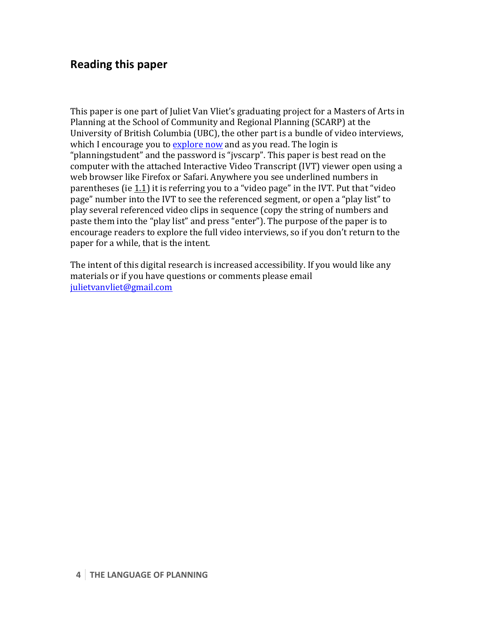## **Reading this paper**

This paper is one part of Juliet Van Vliet's graduating project for a Masters of Arts in Planning at the School of Community and Regional Planning (SCARP) at the University of British Columbia (UBC), the other part is a bundle of video interviews, which I encourage you to explore now and as you read. The login is "planningstudent" and the password is "jyscarp". This paper is best read on the computer with the attached Interactive Video Transcript (IVT) viewer open using a web browser like Firefox or Safari. Anywhere you see underlined numbers in parentheses (ie 1.1) it is referring you to a "video page" in the IVT. Put that "video page" number into the IVT to see the referenced segment, or open a "play list" to play several referenced video clips in sequence (copy the string of numbers and paste them into the "play list" and press "enter"). The purpose of the paper is to encourage readers to explore the full video interviews, so if you don't return to the paper for a while, that is the intent.

The intent of this digital research is increased accessibility. If you would like any materials or if you have questions or comments please email julietvanvliet@gmail.com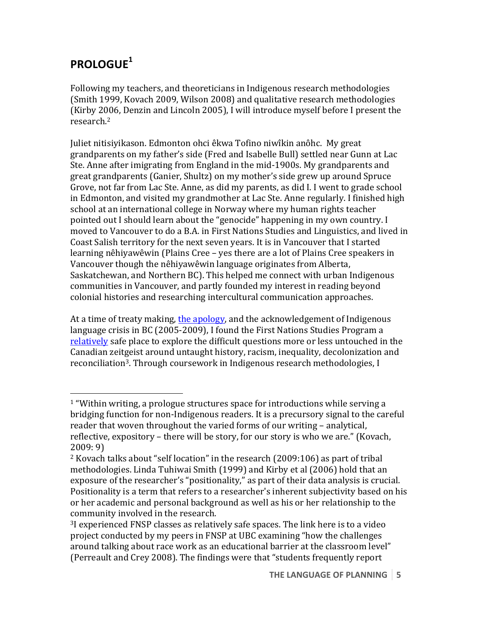# **PROLOGUE<sup>1</sup>**

 

Following my teachers, and theoreticians in Indigenous research methodologies (Smith 1999, Kovach 2009, Wilson 2008) and qualitative research methodologies (Kirby 2006, Denzin and Lincoln 2005), I will introduce myself before I present the research.2

Juliet nitisiyikason. Edmonton ohci êkwa Tofino niwîkin anôhc. My great grandparents on my father's side (Fred and Isabelle Bull) settled near Gunn at Lac Ste. Anne after imigrating from England in the mid-1900s. My grandparents and great grandparents (Ganier, Shultz) on my mother's side grew up around Spruce Grove, not far from Lac Ste. Anne, as did my parents, as did I. I went to grade school in Edmonton, and visited my grandmother at Lac Ste. Anne regularly. I finished high school at an international college in Norway where my human rights teacher pointed out I should learn about the "genocide" happening in my own country. I moved to Vancouver to do a B.A. in First Nations Studies and Linguistics, and lived in Coast Salish territory for the next seven years. It is in Vancouver that I started learning nêhiyawêwin (Plains Cree – yes there are a lot of Plains Cree speakers in Vancouver though the nêhiyawêwin language originates from Alberta, Saskatchewan, and Northern BC). This helped me connect with urban Indigenous communities in Vancouver, and partly founded my interest in reading beyond colonial histories and researching intercultural communication approaches.

At a time of treaty making, the apology, and the acknowledgement of Indigenous language crisis in BC (2005-2009), I found the First Nations Studies Program a relatively safe place to explore the difficult questions more or less untouched in the Canadian zeitgeist around untaught history, racism, inequality, decolonization and reconciliation<sup>3</sup>. Through coursework in Indigenous research methodologies, I

 $1$  "Within writing, a prologue structures space for introductions while serving a bridging function for non-Indigenous readers. It is a precursory signal to the careful reader that woven throughout the varied forms of our writing - analytical, reflective, expository – there will be story, for our story is who we are." (Kovach,  $2009:9$ 

<sup>&</sup>lt;sup>2</sup> Kovach talks about "self location" in the research  $(2009:106)$  as part of tribal methodologies. Linda Tuhiwai Smith (1999) and Kirby et al (2006) hold that an exposure of the researcher's "positionality," as part of their data analysis is crucial. Positionality is a term that refers to a researcher's inherent subjectivity based on his or her academic and personal background as well as his or her relationship to the community involved in the research.

<sup>&</sup>lt;sup>3</sup>I experienced FNSP classes as relatively safe spaces. The link here is to a video project conducted by my peers in FNSP at UBC examining "how the challenges around talking about race work as an educational barrier at the classroom level" (Perreault and Crey 2008). The findings were that "students frequently report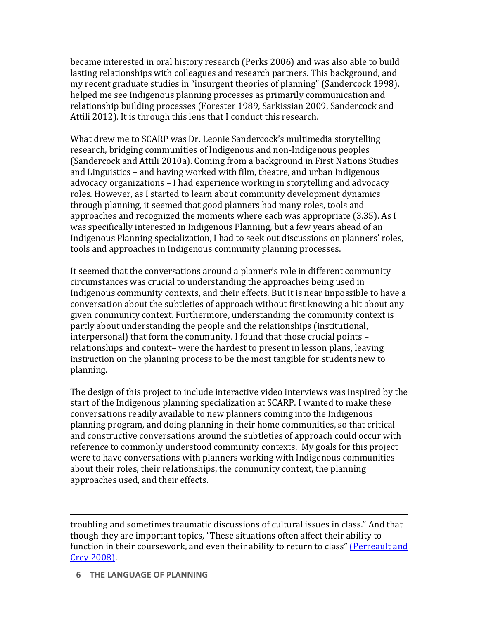became interested in oral history research (Perks 2006) and was also able to build lasting relationships with colleagues and research partners. This background, and my recent graduate studies in "insurgent theories of planning" (Sandercock 1998), helped me see Indigenous planning processes as primarily communication and relationship building processes (Forester 1989, Sarkissian 2009, Sandercock and Attili 2012). It is through this lens that I conduct this research.

What drew me to SCARP was Dr. Leonie Sandercock's multimedia storytelling research, bridging communities of Indigenous and non-Indigenous peoples (Sandercock and Attili 2010a). Coming from a background in First Nations Studies and Linguistics – and having worked with film, theatre, and urban Indigenous advocacy organizations – I had experience working in storytelling and advocacy roles. However, as I started to learn about community development dynamics through planning, it seemed that good planners had many roles, tools and approaches and recognized the moments where each was appropriate (3.35). As I was specifically interested in Indigenous Planning, but a few years ahead of an Indigenous Planning specialization, I had to seek out discussions on planners' roles, tools and approaches in Indigenous community planning processes.

It seemed that the conversations around a planner's role in different community circumstances was crucial to understanding the approaches being used in Indigenous community contexts, and their effects. But it is near impossible to have a conversation about the subtleties of approach without first knowing a bit about any given community context. Furthermore, understanding the community context is partly about understanding the people and the relationships (institutional, interpersonal) that form the community. I found that those crucial points  $$ relationships and context- were the hardest to present in lesson plans, leaving instruction on the planning process to be the most tangible for students new to planning. 

The design of this project to include interactive video interviews was inspired by the start of the Indigenous planning specialization at SCARP. I wanted to make these conversations readily available to new planners coming into the Indigenous planning program, and doing planning in their home communities, so that critical and constructive conversations around the subtleties of approach could occur with reference to commonly understood community contexts. My goals for this project were to have conversations with planners working with Indigenous communities about their roles, their relationships, the community context, the planning approaches used, and their effects.

troubling and sometimes traumatic discussions of cultural issues in class." And that though they are important topics, "These situations often affect their ability to function in their coursework, and even their ability to return to class" (Perreault and Crey 2008).

<u> 1989 - Andrea Santa Andrea Andrea Andrea Andrea Andrea Andrea Andrea Andrea Andrea Andrea Andrea Andrea Andr</u>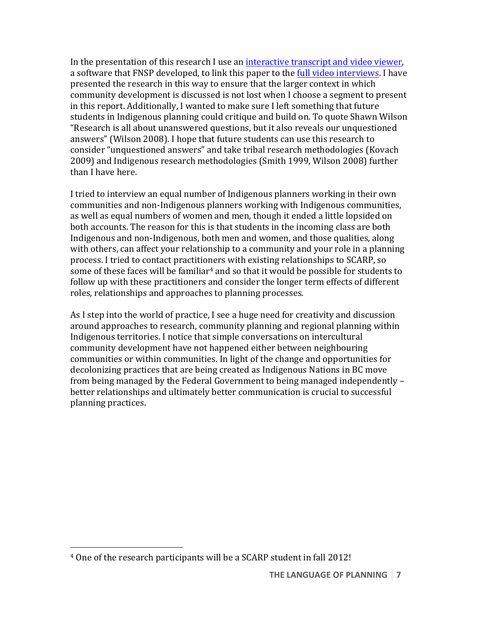In the presentation of this research I use an interactive transcript and video viewer, a software that FNSP developed, to link this paper to the full video interviews. I have presented the research in this way to ensure that the larger context in which community development is discussed is not lost when I choose a segment to present in this report. Additionally, I wanted to make sure I left something that future students in Indigenous planning could critique and build on. To quote Shawn Wilson "Research is all about unanswered questions, but it also reveals our unquestioned answers" (Wilson 2008). I hope that future students can use this research to consider "unquestioned answers" and take tribal research methodologies (Kovach 2009) and Indigenous research methodologies (Smith 1999, Wilson 2008) further than I have here.

I tried to interview an equal number of Indigenous planners working in their own communities and non-Indigenous planners working with Indigenous communities, as well as equal numbers of women and men, though it ended a little lopsided on both accounts. The reason for this is that students in the incoming class are both Indigenous and non-Indigenous, both men and women, and those qualities, along with others, can affect your relationship to a community and your role in a planning process. I tried to contact practitioners with existing relationships to SCARP, so some of these faces will be familiar<sup>4</sup> and so that it would be possible for students to follow up with these practitioners and consider the longer term effects of different roles, relationships and approaches to planning processes.

As I step into the world of practice, I see a huge need for creativity and discussion around approaches to research, community planning and regional planning within Indigenous territories. I notice that simple conversations on intercultural community development have not happened either between neighbouring communities or within communities. In light of the change and opportunities for decolonizing practices that are being created as Indigenous Nations in BC move from being managed by the Federal Government to being managed independently – better relationships and ultimately better communication is crucial to successful planning practices.

 <sup>4</sup> One of the research participants will be a SCARP student in fall 2012!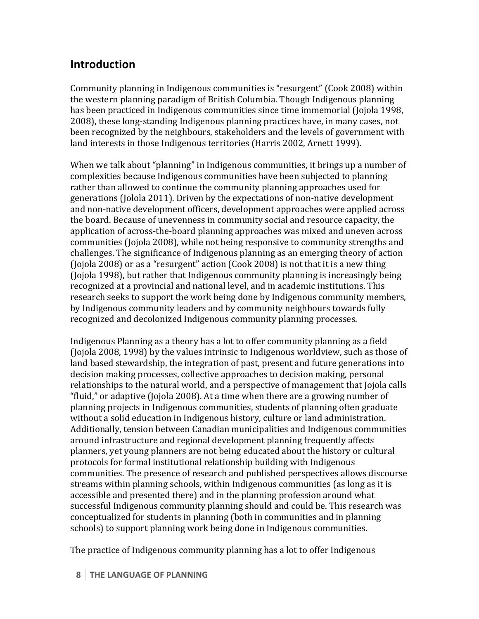## **Introduction**

Community planning in Indigenous communities is "resurgent" (Cook 2008) within the western planning paradigm of British Columbia. Though Indigenous planning has been practiced in Indigenous communities since time immemorial (Jojola 1998, 2008), these long-standing Indigenous planning practices have, in many cases, not been recognized by the neighbours, stakeholders and the levels of government with land interests in those Indigenous territories (Harris 2002, Arnett 1999).

When we talk about "planning" in Indigenous communities, it brings up a number of complexities because Indigenous communities have been subjected to planning rather than allowed to continue the community planning approaches used for generations (Jolola 2011). Driven by the expectations of non-native development and non-native development officers, development approaches were applied across the board. Because of unevenness in community social and resource capacity, the application of across-the-board planning approaches was mixed and uneven across communities (Jojola 2008), while not being responsive to community strengths and challenges. The significance of Indigenous planning as an emerging theory of action (Jojola 2008) or as a "resurgent" action (Cook 2008) is not that it is a new thing (Jojola 1998), but rather that Indigenous community planning is increasingly being recognized at a provincial and national level, and in academic institutions. This research seeks to support the work being done by Indigenous community members, by Indigenous community leaders and by community neighbours towards fully recognized and decolonized Indigenous community planning processes.

Indigenous Planning as a theory has a lot to offer community planning as a field (Jojola 2008, 1998) by the values intrinsic to Indigenous worldview, such as those of land based stewardship, the integration of past, present and future generations into decision making processes, collective approaches to decision making, personal relationships to the natural world, and a perspective of management that Jojola calls "fluid," or adaptive (Jojola 2008). At a time when there are a growing number of planning projects in Indigenous communities, students of planning often graduate without a solid education in Indigenous history, culture or land administration. Additionally, tension between Canadian municipalities and Indigenous communities around infrastructure and regional development planning frequently affects planners, yet young planners are not being educated about the history or cultural protocols for formal institutional relationship building with Indigenous communities. The presence of research and published perspectives allows discourse streams within planning schools, within Indigenous communities (as long as it is accessible and presented there) and in the planning profession around what successful Indigenous community planning should and could be. This research was conceptualized for students in planning (both in communities and in planning schools) to support planning work being done in Indigenous communities.

The practice of Indigenous community planning has a lot to offer Indigenous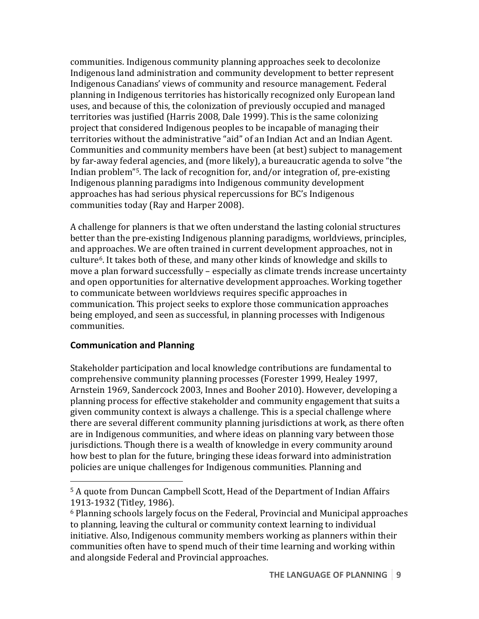communities. Indigenous community planning approaches seek to decolonize Indigenous land administration and community development to better represent Indigenous Canadians' views of community and resource management. Federal planning in Indigenous territories has historically recognized only European land uses, and because of this, the colonization of previously occupied and managed territories was justified (Harris 2008, Dale 1999). This is the same colonizing project that considered Indigenous peoples to be incapable of managing their territories without the administrative "aid" of an Indian Act and an Indian Agent. Communities and community members have been (at best) subject to management by far-away federal agencies, and (more likely), a bureaucratic agenda to solve "the Indian problem"<sup>5</sup>. The lack of recognition for, and/or integration of, pre-existing Indigenous planning paradigms into Indigenous community development approaches has had serious physical repercussions for BC's Indigenous communities today (Ray and Harper 2008).

A challenge for planners is that we often understand the lasting colonial structures better than the pre-existing Indigenous planning paradigms, worldviews, principles, and approaches. We are often trained in current development approaches, not in culture<sup>6</sup>. It takes both of these, and many other kinds of knowledge and skills to move a plan forward successfully – especially as climate trends increase uncertainty and open opportunities for alternative development approaches. Working together to communicate between worldviews requires specific approaches in communication. This project seeks to explore those communication approaches being employed, and seen as successful, in planning processes with Indigenous communities. 

#### **Communication and Planning**

 

Stakeholder participation and local knowledge contributions are fundamental to comprehensive community planning processes (Forester 1999, Healey 1997, Arnstein 1969, Sandercock 2003, Innes and Booher 2010). However, developing a planning process for effective stakeholder and community engagement that suits a given community context is always a challenge. This is a special challenge where there are several different community planning jurisdictions at work, as there often are in Indigenous communities, and where ideas on planning vary between those jurisdictions. Though there is a wealth of knowledge in every community around how best to plan for the future, bringing these ideas forward into administration policies are unique challenges for Indigenous communities. Planning and

<sup>&</sup>lt;sup>5</sup> A quote from Duncan Campbell Scott, Head of the Department of Indian Affairs 1913-1932 (Titley, 1986).

 $6$  Planning schools largely focus on the Federal, Provincial and Municipal approaches to planning, leaving the cultural or community context learning to individual initiative. Also, Indigenous community members working as planners within their communities often have to spend much of their time learning and working within and alongside Federal and Provincial approaches.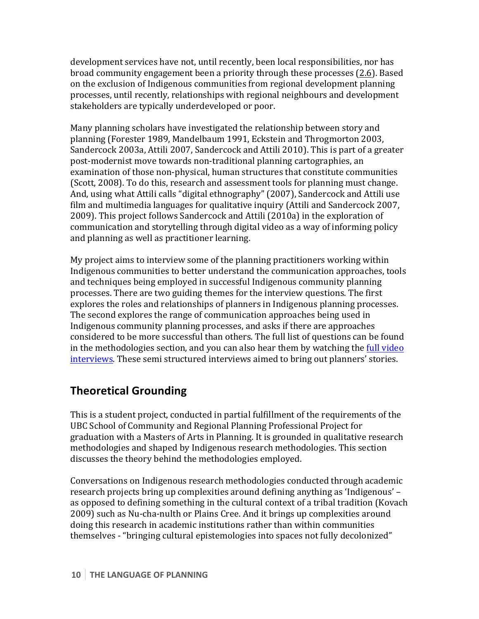development services have not, until recently, been local responsibilities, nor has broad community engagement been a priority through these processes (2.6). Based on the exclusion of Indigenous communities from regional development planning processes, until recently, relationships with regional neighbours and development stakeholders are typically underdeveloped or poor.

Many planning scholars have investigated the relationship between story and planning (Forester 1989, Mandelbaum 1991, Eckstein and Throgmorton 2003, Sandercock 2003a, Attili 2007, Sandercock and Attili 2010). This is part of a greater post-modernist move towards non-traditional planning cartographies, an examination of those non-physical, human structures that constitute communities (Scott, 2008). To do this, research and assessment tools for planning must change. And, using what Attili calls "digital ethnography" (2007), Sandercock and Attili use film and multimedia languages for qualitative inquiry (Attili and Sandercock 2007, 2009). This project follows Sandercock and Attili (2010a) in the exploration of communication and storytelling through digital video as a way of informing policy and planning as well as practitioner learning.

My project aims to interview some of the planning practitioners working within Indigenous communities to better understand the communication approaches, tools and techniques being employed in successful Indigenous community planning processes. There are two guiding themes for the interview questions. The first explores the roles and relationships of planners in Indigenous planning processes. The second explores the range of communication approaches being used in Indigenous community planning processes, and asks if there are approaches considered to be more successful than others. The full list of questions can be found in the methodologies section, and you can also hear them by watching the full video interviews. These semi structured interviews aimed to bring out planners' stories.

## **Theoretical Grounding**

This is a student project, conducted in partial fulfillment of the requirements of the UBC School of Community and Regional Planning Professional Project for graduation with a Masters of Arts in Planning. It is grounded in qualitative research methodologies and shaped by Indigenous research methodologies. This section discusses the theory behind the methodologies employed.

Conversations on Indigenous research methodologies conducted through academic research projects bring up complexities around defining anything as 'Indigenous' – as opposed to defining something in the cultural context of a tribal tradition (Kovach 2009) such as Nu-cha-nulth or Plains Cree. And it brings up complexities around doing this research in academic institutions rather than within communities themselves - "bringing cultural epistemologies into spaces not fully decolonized"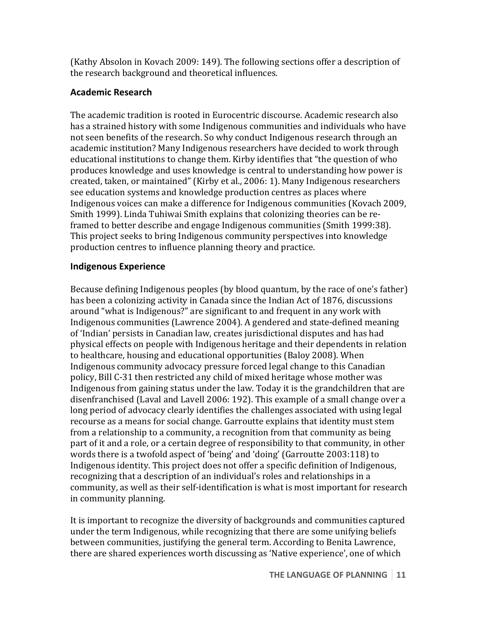(Kathy Absolon in Kovach 2009: 149). The following sections offer a description of the research background and theoretical influences.

### **Academic Research**

The academic tradition is rooted in Eurocentric discourse. Academic research also has a strained history with some Indigenous communities and individuals who have not seen benefits of the research. So why conduct Indigenous research through an academic institution? Many Indigenous researchers have decided to work through educational institutions to change them. Kirby identifies that "the question of who produces knowledge and uses knowledge is central to understanding how power is created, taken, or maintained" (Kirby et al., 2006: 1). Many Indigenous researchers see education systems and knowledge production centres as places where Indigenous voices can make a difference for Indigenous communities (Kovach 2009, Smith 1999). Linda Tuhiwai Smith explains that colonizing theories can be reframed to better describe and engage Indigenous communities (Smith 1999:38). This project seeks to bring Indigenous community perspectives into knowledge production centres to influence planning theory and practice.

#### **Indigenous Experience**

Because defining Indigenous peoples (by blood quantum, by the race of one's father) has been a colonizing activity in Canada since the Indian Act of 1876, discussions around "what is Indigenous?" are significant to and frequent in any work with Indigenous communities (Lawrence 2004). A gendered and state-defined meaning of 'Indian' persists in Canadian law, creates jurisdictional disputes and has had physical effects on people with Indigenous heritage and their dependents in relation to healthcare, housing and educational opportunities (Baloy 2008). When Indigenous community advocacy pressure forced legal change to this Canadian policy, Bill C-31 then restricted any child of mixed heritage whose mother was Indigenous from gaining status under the law. Today it is the grandchildren that are disenfranchised (Laval and Lavell 2006: 192). This example of a small change over a long period of advocacy clearly identifies the challenges associated with using legal recourse as a means for social change. Garroutte explains that identity must stem from a relationship to a community, a recognition from that community as being part of it and a role, or a certain degree of responsibility to that community, in other words there is a twofold aspect of 'being' and 'doing' (Garroutte 2003:118) to Indigenous identity. This project does not offer a specific definition of Indigenous, recognizing that a description of an individual's roles and relationships in a community, as well as their self-identification is what is most important for research in community planning.

It is important to recognize the diversity of backgrounds and communities captured under the term Indigenous, while recognizing that there are some unifying beliefs between communities, justifying the general term. According to Benita Lawrence, there are shared experiences worth discussing as 'Native experience', one of which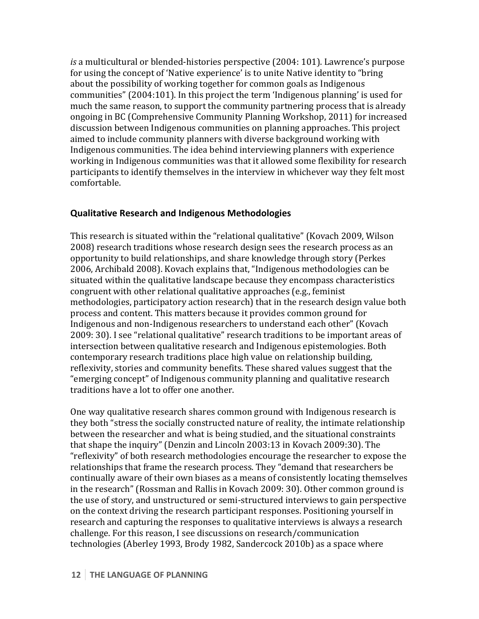*is* a multicultural or blended-histories perspective (2004: 101). Lawrence's purpose for using the concept of 'Native experience' is to unite Native identity to "bring about the possibility of working together for common goals as Indigenous communities" (2004:101). In this project the term 'Indigenous planning' is used for much the same reason, to support the community partnering process that is already ongoing in BC (Comprehensive Community Planning Workshop, 2011) for increased discussion between Indigenous communities on planning approaches. This project aimed to include community planners with diverse background working with Indigenous communities. The idea behind interviewing planners with experience working in Indigenous communities was that it allowed some flexibility for research participants to identify themselves in the interview in whichever way they felt most comfortable.

#### **Qualitative Research and Indigenous Methodologies**

This research is situated within the "relational qualitative" (Kovach 2009, Wilson 2008) research traditions whose research design sees the research process as an opportunity to build relationships, and share knowledge through story (Perkes 2006, Archibald 2008). Kovach explains that, "Indigenous methodologies can be situated within the qualitative landscape because they encompass characteristics congruent with other relational qualitative approaches (e.g., feminist methodologies, participatory action research) that in the research design value both process and content. This matters because it provides common ground for Indigenous and non-Indigenous researchers to understand each other" (Kovach 2009: 30). I see "relational qualitative" research traditions to be important areas of intersection between qualitative research and Indigenous epistemologies. Both contemporary research traditions place high value on relationship building, reflexivity, stories and community benefits. These shared values suggest that the "emerging concept" of Indigenous community planning and qualitative research traditions have a lot to offer one another.

One way qualitative research shares common ground with Indigenous research is they both "stress the socially constructed nature of reality, the intimate relationship between the researcher and what is being studied, and the situational constraints that shape the inquiry" (Denzin and Lincoln 2003:13 in Kovach 2009:30). The "reflexivity" of both research methodologies encourage the researcher to expose the relationships that frame the research process. They "demand that researchers be continually aware of their own biases as a means of consistently locating themselves in the research" (Rossman and Rallis in Kovach 2009: 30). Other common ground is the use of story, and unstructured or semi-structured interviews to gain perspective on the context driving the research participant responses. Positioning yourself in research and capturing the responses to qualitative interviews is always a research challenge. For this reason, I see discussions on research/communication technologies (Aberley 1993, Brody 1982, Sandercock 2010b) as a space where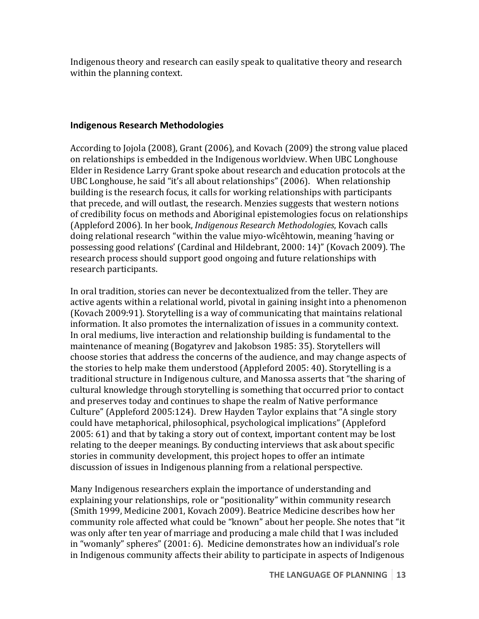Indigenous theory and research can easily speak to qualitative theory and research within the planning context.

#### **Indigenous Research Methodologies**

According to Jojola (2008), Grant (2006), and Kovach (2009) the strong value placed on relationships is embedded in the Indigenous worldview. When UBC Longhouse Elder in Residence Larry Grant spoke about research and education protocols at the UBC Longhouse, he said "it's all about relationships" (2006). When relationship building is the research focus, it calls for working relationships with participants that precede, and will outlast, the research. Menzies suggests that western notions of credibility focus on methods and Aboriginal epistemologies focus on relationships (Appleford 2006). In her book, *Indigenous Research Methodologies*, Kovach calls doing relational research "within the value miyo-wîcêhtowin, meaning 'having or possessing good relations' (Cardinal and Hildebrant, 2000: 14)" (Kovach 2009). The research process should support good ongoing and future relationships with research participants.

In oral tradition, stories can never be decontextualized from the teller. They are active agents within a relational world, pivotal in gaining insight into a phenomenon (Kovach 2009:91). Storytelling is a way of communicating that maintains relational information. It also promotes the internalization of issues in a community context. In oral mediums, live interaction and relationship building is fundamental to the maintenance of meaning (Bogatyrey and Jakobson 1985: 35). Storytellers will choose stories that address the concerns of the audience, and may change aspects of the stories to help make them understood (Appleford 2005: 40). Storytelling is a traditional structure in Indigenous culture, and Manossa asserts that "the sharing of cultural knowledge through storytelling is something that occurred prior to contact and preserves today and continues to shape the realm of Native performance Culture" (Appleford 2005:124). Drew Hayden Taylor explains that "A single story could have metaphorical, philosophical, psychological implications" (Appleford  $2005: 61$  and that by taking a story out of context, important content may be lost relating to the deeper meanings. By conducting interviews that ask about specific stories in community development, this project hopes to offer an intimate discussion of issues in Indigenous planning from a relational perspective.

Many Indigenous researchers explain the importance of understanding and explaining your relationships, role or "positionality" within community research (Smith 1999, Medicine 2001, Kovach 2009). Beatrice Medicine describes how her community role affected what could be "known" about her people. She notes that "it was only after ten year of marriage and producing a male child that I was included in "womanly" spheres"  $(2001:6)$ . Medicine demonstrates how an individual's role in Indigenous community affects their ability to participate in aspects of Indigenous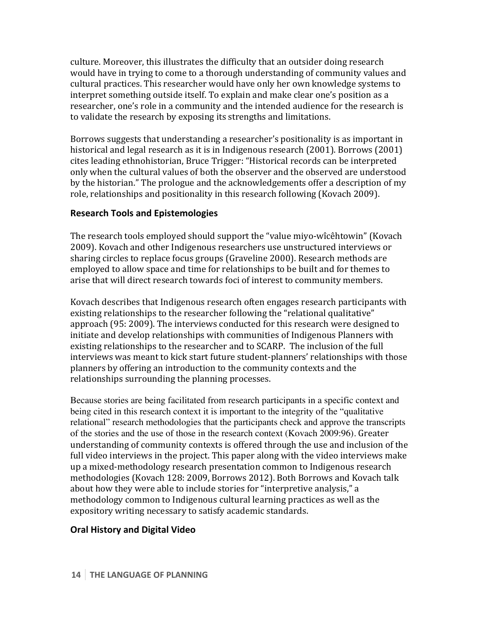culture. Moreover, this illustrates the difficulty that an outsider doing research would have in trying to come to a thorough understanding of community values and cultural practices. This researcher would have only her own knowledge systems to interpret something outside itself. To explain and make clear one's position as a researcher, one's role in a community and the intended audience for the research is to validate the research by exposing its strengths and limitations.

Borrows suggests that understanding a researcher's positionality is as important in historical and legal research as it is in Indigenous research  $(2001)$ . Borrows  $(2001)$ cites leading ethnohistorian, Bruce Trigger: "Historical records can be interpreted only when the cultural values of both the observer and the observed are understood by the historian." The prologue and the acknowledgements offer a description of my role, relationships and positionality in this research following (Kovach 2009).

#### **Research Tools and Epistemologies**

The research tools employed should support the "value miyo-wîcêhtowin" (Kovach 2009). Kovach and other Indigenous researchers use unstructured interviews or sharing circles to replace focus groups (Graveline 2000). Research methods are employed to allow space and time for relationships to be built and for themes to arise that will direct research towards foci of interest to community members.

Kovach describes that Indigenous research often engages research participants with existing relationships to the researcher following the "relational qualitative" approach (95: 2009). The interviews conducted for this research were designed to initiate and develop relationships with communities of Indigenous Planners with existing relationships to the researcher and to SCARP. The inclusion of the full interviews was meant to kick start future student-planners' relationships with those planners by offering an introduction to the community contexts and the relationships surrounding the planning processes.

Because stories are being facilitated from research participants in a specific context and being cited in this research context it is important to the integrity of the "qualitative relational" research methodologies that the participants check and approve the transcripts of the stories and the use of those in the research context (Kovach 2009:96). Greater understanding of community contexts is offered through the use and inclusion of the full video interviews in the project. This paper along with the video interviews make up a mixed-methodology research presentation common to Indigenous research methodologies (Kovach 128: 2009, Borrows 2012). Both Borrows and Kovach talk about how they were able to include stories for "interpretive analysis," a methodology common to Indigenous cultural learning practices as well as the expository writing necessary to satisfy academic standards.

#### **Oral History and Digital Video**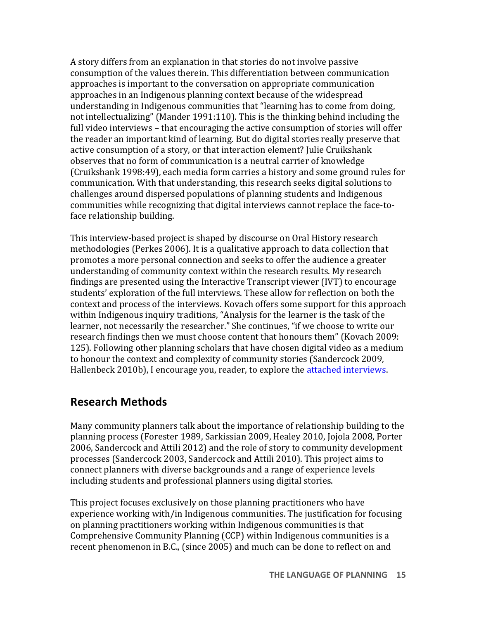A story differs from an explanation in that stories do not involve passive consumption of the values therein. This differentiation between communication approaches is important to the conversation on appropriate communication approaches in an Indigenous planning context because of the widespread understanding in Indigenous communities that "learning has to come from doing, not intellectualizing" (Mander 1991:110). This is the thinking behind including the full video interviews – that encouraging the active consumption of stories will offer the reader an important kind of learning. But do digital stories really preserve that active consumption of a story, or that interaction element? Julie Cruikshank observes that no form of communication is a neutral carrier of knowledge (Cruikshank 1998:49), each media form carries a history and some ground rules for communication. With that understanding, this research seeks digital solutions to challenges around dispersed populations of planning students and Indigenous communities while recognizing that digital interviews cannot replace the face-toface relationship building.

This interview-based project is shaped by discourse on Oral History research methodologies (Perkes 2006). It is a qualitative approach to data collection that promotes a more personal connection and seeks to offer the audience a greater understanding of community context within the research results. My research findings are presented using the Interactive Transcript viewer (IVT) to encourage students' exploration of the full interviews. These allow for reflection on both the context and process of the interviews. Kovach offers some support for this approach within Indigenous inquiry traditions, "Analysis for the learner is the task of the learner, not necessarily the researcher." She continues, "if we choose to write our research findings then we must choose content that honours them" (Kovach 2009: 125). Following other planning scholars that have chosen digital video as a medium to honour the context and complexity of community stories (Sandercock 2009, Hallenbeck 2010b), I encourage you, reader, to explore the attached interviews.

### **Research Methods**

Many community planners talk about the importance of relationship building to the planning process (Forester 1989, Sarkissian 2009, Healey 2010, Jojola 2008, Porter 2006, Sandercock and Attili 2012) and the role of story to community development processes (Sandercock 2003, Sandercock and Attili 2010). This project aims to connect planners with diverse backgrounds and a range of experience levels including students and professional planners using digital stories.

This project focuses exclusively on those planning practitioners who have experience working with/in Indigenous communities. The justification for focusing on planning practitioners working within Indigenous communities is that Comprehensive Community Planning (CCP) within Indigenous communities is a recent phenomenon in B.C., (since 2005) and much can be done to reflect on and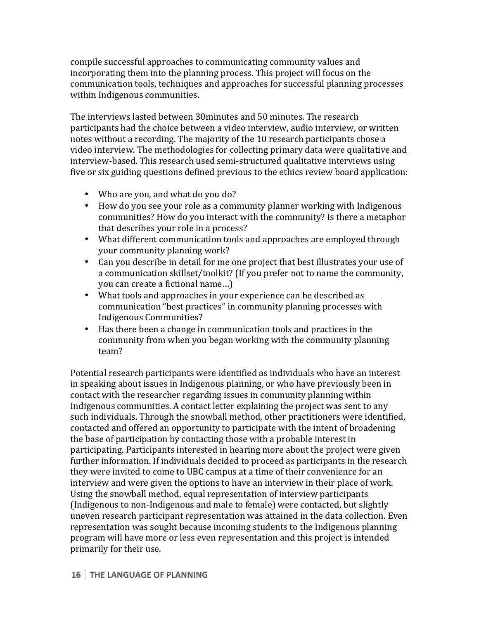compile successful approaches to communicating community values and incorporating them into the planning process. This project will focus on the communication tools, techniques and approaches for successful planning processes within Indigenous communities.

The interviews lasted between 30minutes and 50 minutes. The research participants had the choice between a video interview, audio interview, or written notes without a recording. The majority of the 10 research participants chose a video interview. The methodologies for collecting primary data were qualitative and interview-based. This research used semi-structured qualitative interviews using five or six guiding questions defined previous to the ethics review board application:

- Who are you, and what do you do?
- How do you see your role as a community planner working with Indigenous communities? How do you interact with the community? Is there a metaphor that describes your role in a process?
- What different communication tools and approaches are employed through your community planning work?
- Can you describe in detail for me one project that best illustrates your use of a communication skillset/toolkit? (If you prefer not to name the community, you can create a fictional name...)
- What tools and approaches in your experience can be described as communication "best practices" in community planning processes with Indigenous Communities?
- Has there been a change in communication tools and practices in the community from when you began working with the community planning team?

Potential research participants were identified as individuals who have an interest in speaking about issues in Indigenous planning, or who have previously been in contact with the researcher regarding issues in community planning within Indigenous communities. A contact letter explaining the project was sent to any such individuals. Through the snowball method, other practitioners were identified, contacted and offered an opportunity to participate with the intent of broadening the base of participation by contacting those with a probable interest in participating. Participants interested in hearing more about the project were given further information. If individuals decided to proceed as participants in the research they were invited to come to UBC campus at a time of their convenience for an interview and were given the options to have an interview in their place of work. Using the snowball method, equal representation of interview participants (Indigenous to non-Indigenous and male to female) were contacted, but slightly uneven research participant representation was attained in the data collection. Even representation was sought because incoming students to the Indigenous planning program will have more or less even representation and this project is intended primarily for their use.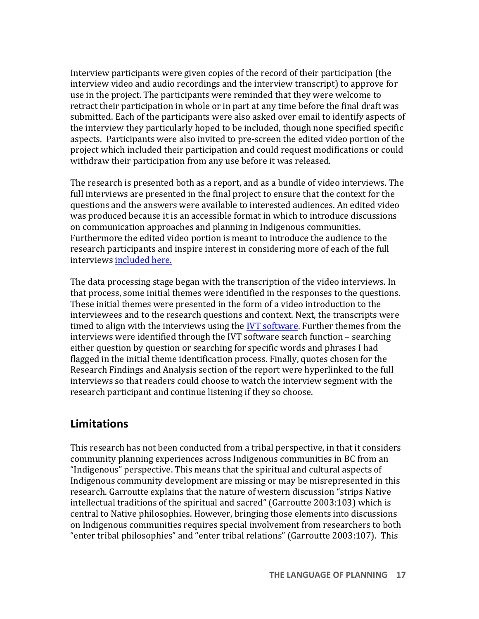Interview participants were given copies of the record of their participation (the interview video and audio recordings and the interview transcript) to approve for use in the project. The participants were reminded that they were welcome to retract their participation in whole or in part at any time before the final draft was submitted. Each of the participants were also asked over email to identify aspects of the interview they particularly hoped to be included, though none specified specific aspects. Participants were also invited to pre-screen the edited video portion of the project which included their participation and could request modifications or could withdraw their participation from any use before it was released.

The research is presented both as a report, and as a bundle of video interviews. The full interviews are presented in the final project to ensure that the context for the questions and the answers were available to interested audiences. An edited video was produced because it is an accessible format in which to introduce discussions on communication approaches and planning in Indigenous communities. Furthermore the edited video portion is meant to introduce the audience to the research participants and inspire interest in considering more of each of the full interviews included here.

The data processing stage began with the transcription of the video interviews. In that process, some initial themes were identified in the responses to the questions. These initial themes were presented in the form of a video introduction to the interviewees and to the research questions and context. Next, the transcripts were timed to align with the interviews using the IVT software. Further themes from the interviews were identified through the IVT software search function  $-$  searching either question by question or searching for specific words and phrases I had flagged in the initial theme identification process. Finally, quotes chosen for the Research Findings and Analysis section of the report were hyperlinked to the full interviews so that readers could choose to watch the interview segment with the research participant and continue listening if they so choose.

## **Limitations**

This research has not been conducted from a tribal perspective, in that it considers community planning experiences across Indigenous communities in BC from an "Indigenous" perspective. This means that the spiritual and cultural aspects of Indigenous community development are missing or may be misrepresented in this research. Garroutte explains that the nature of western discussion "strips Native intellectual traditions of the spiritual and sacred" (Garroutte 2003:103) which is central to Native philosophies. However, bringing those elements into discussions on Indigenous communities requires special involvement from researchers to both "enter tribal philosophies" and "enter tribal relations" (Garroutte 2003:107). This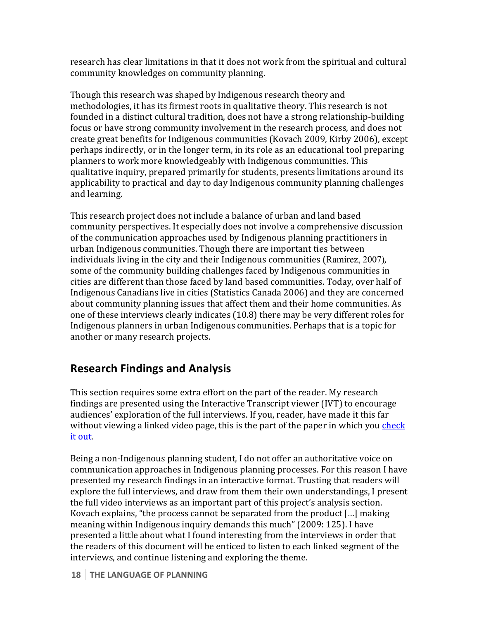research has clear limitations in that it does not work from the spiritual and cultural community knowledges on community planning.

Though this research was shaped by Indigenous research theory and methodologies, it has its firmest roots in qualitative theory. This research is not founded in a distinct cultural tradition, does not have a strong relationship-building focus or have strong community involvement in the research process, and does not create great benefits for Indigenous communities (Kovach 2009, Kirby 2006), except perhaps indirectly, or in the longer term, in its role as an educational tool preparing planners to work more knowledgeably with Indigenous communities. This qualitative inquiry, prepared primarily for students, presents limitations around its applicability to practical and day to day Indigenous community planning challenges and learning.

This research project does not include a balance of urban and land based community perspectives. It especially does not involve a comprehensive discussion of the communication approaches used by Indigenous planning practitioners in urban Indigenous communities. Though there are important ties between individuals living in the city and their Indigenous communities (Ramirez, 2007), some of the community building challenges faced by Indigenous communities in cities are different than those faced by land based communities. Today, over half of Indigenous Canadians live in cities (Statistics Canada 2006) and they are concerned about community planning issues that affect them and their home communities. As one of these interviews clearly indicates (10.8) there may be very different roles for Indigenous planners in urban Indigenous communities. Perhaps that is a topic for another or many research projects.

# **Research Findings and Analysis**

This section requires some extra effort on the part of the reader. My research findings are presented using the Interactive Transcript viewer  $(IVT)$  to encourage audiences' exploration of the full interviews. If you, reader, have made it this far without viewing a linked video page, this is the part of the paper in which you check it out.

Being a non-Indigenous planning student, I do not offer an authoritative voice on communication approaches in Indigenous planning processes. For this reason I have presented my research findings in an interactive format. Trusting that readers will explore the full interviews, and draw from them their own understandings, I present the full video interviews as an important part of this project's analysis section. Kovach explains, "the process cannot be separated from the product  $[...]$  making meaning within Indigenous inquiry demands this much" (2009: 125). I have presented a little about what I found interesting from the interviews in order that the readers of this document will be enticed to listen to each linked segment of the interviews, and continue listening and exploring the theme.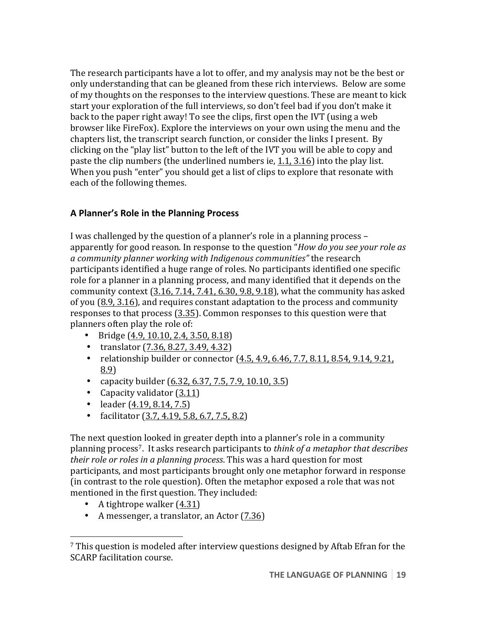The research participants have a lot to offer, and my analysis may not be the best or only understanding that can be gleaned from these rich interviews. Below are some of my thoughts on the responses to the interview questions. These are meant to kick start your exploration of the full interviews, so don't feel bad if you don't make it back to the paper right away! To see the clips, first open the IVT (using a web browser like FireFox). Explore the interviews on your own using the menu and the chapters list, the transcript search function, or consider the links I present. By clicking on the "play list" button to the left of the IVT you will be able to copy and paste the clip numbers (the underlined numbers ie,  $1.1$ ,  $3.16$ ) into the play list. When you push "enter" you should get a list of clips to explore that resonate with each of the following themes.

### **A Planner's Role in the Planning Process**

I was challenged by the question of a planner's role in a planning process – apparently for good reason. In response to the question "*How do you see your role as a* community planner working with Indigenous communities" the research participants identified a huge range of roles. No participants identified one specific role for a planner in a planning process, and many identified that it depends on the community context  $(3.16, 7.14, 7.41, 6.30, 9.8, 9.18)$ , what the community has asked of you  $(8.9, 3.16)$ , and requires constant adaptation to the process and community responses to that process (3.35). Common responses to this question were that planners often play the role of:

- Bridge  $(4.9, 10.10, 2.4, 3.50, 8.18)$
- translator  $(7.36, 8.27, 3.49, 4.32)$
- relationship builder or connector  $(4.5, 4.9, 6.46, 7.7, 8.11, 8.54, 9.14, 9.21,$ 8.9)
- capacity builder  $(6.32, 6.37, 7.5, 7.9, 10.10, 3.5)$
- Capacity validator  $(3.11)$
- leader  $(4.19, 8.14, 7.5)$
- facilitator  $(3.7, 4.19, 5.8, 6.7, 7.5, 8.2)$

The next question looked in greater depth into a planner's role in a community planning process<sup>7</sup>. It asks research participants to *think of a metaphor that describes their role or roles in a planning process*. This was a hard question for most participants, and most participants brought only one metaphor forward in response (in contrast to the role question). Often the metaphor exposed a role that was not mentioned in the first question. They included:

• A tightrope walker  $(4.31)$ 

 

• A messenger, a translator, an Actor  $(7.36)$ 

 $7$  This question is modeled after interview questions designed by Aftab Efran for the SCARP facilitation course.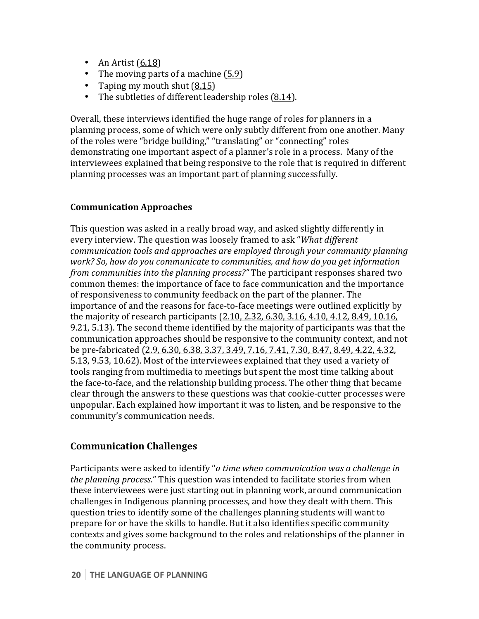- An Artist  $(6.18)$
- The moving parts of a machine  $(5.9)$
- Taping my mouth shut  $(8.15)$
- The subtleties of different leadership roles  $(8.14)$ .

Overall, these interviews identified the huge range of roles for planners in a planning process, some of which were only subtly different from one another. Many of the roles were "bridge building," "translating" or "connecting" roles demonstrating one important aspect of a planner's role in a process. Many of the interviewees explained that being responsive to the role that is required in different planning processes was an important part of planning successfully.

#### **Communication Approaches**

This question was asked in a really broad way, and asked slightly differently in every interview. The question was loosely framed to ask "What different *communication tools and approaches are employed through your community planning work? So, how do you communicate to communities, and how do you get information from communities into the planning process?"* The participant responses shared two common themes: the importance of face to face communication and the importance of responsiveness to community feedback on the part of the planner. The importance of and the reasons for face-to-face meetings were outlined explicitly by the majority of research participants  $(2.10, 2.32, 6.30, 3.16, 4.10, 4.12, 8.49, 10.16,$ 9.21, 5.13). The second theme identified by the majority of participants was that the communication approaches should be responsive to the community context, and not be pre-fabricated (2.9, 6.30, 6.38, 3.37, 3.49, 7.16, 7.41, 7.30, 8.47, 8.49, 4.22, 4.32, 5.13, 9.53, 10.62). Most of the interviewees explained that they used a variety of tools ranging from multimedia to meetings but spent the most time talking about the face-to-face, and the relationship building process. The other thing that became clear through the answers to these questions was that cookie-cutter processes were unpopular. Each explained how important it was to listen, and be responsive to the community's communication needs.

### **Communication Challenges**

Participants were asked to identify "*a* time when communication was a challenge in *the planning process.*" This question was intended to facilitate stories from when these interviewees were just starting out in planning work, around communication challenges in Indigenous planning processes, and how they dealt with them. This question tries to identify some of the challenges planning students will want to prepare for or have the skills to handle. But it also identifies specific community contexts and gives some background to the roles and relationships of the planner in the community process.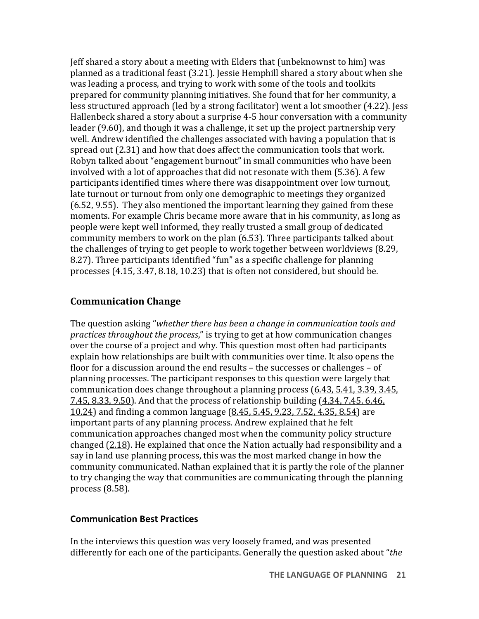Jeff shared a story about a meeting with Elders that (unbeknownst to him) was planned as a traditional feast (3.21). Jessie Hemphill shared a story about when she was leading a process, and trying to work with some of the tools and toolkits prepared for community planning initiatives. She found that for her community, a less structured approach (led by a strong facilitator) went a lot smoother (4.22). Jess Hallenbeck shared a story about a surprise 4-5 hour conversation with a community leader  $(9.60)$ , and though it was a challenge, it set up the project partnership very well. Andrew identified the challenges associated with having a population that is spread out  $(2.31)$  and how that does affect the communication tools that work. Robyn talked about "engagement burnout" in small communities who have been involved with a lot of approaches that did not resonate with them (5.36). A few participants identified times where there was disappointment over low turnout, late turnout or turnout from only one demographic to meetings they organized  $(6.52, 9.55)$ . They also mentioned the important learning they gained from these moments. For example Chris became more aware that in his community, as long as people were kept well informed, they really trusted a small group of dedicated community members to work on the plan (6.53). Three participants talked about the challenges of trying to get people to work together between worldviews (8.29, 8.27). Three participants identified "fun" as a specific challenge for planning processes  $(4.15, 3.47, 8.18, 10.23)$  that is often not considered, but should be.

#### **Communication Change**

The question asking "*whether there has been a change in communication tools and practices throughout the process*," is trying to get at how communication changes over the course of a project and why. This question most often had participants explain how relationships are built with communities over time. It also opens the floor for a discussion around the end results  $-$  the successes or challenges  $-$  of planning processes. The participant responses to this question were largely that communication does change throughout a planning process (6.43, 5.41, 3.39, 3.45, 7.45, 8.33, 9.50). And that the process of relationship building (4.34, 7.45. 6.46, 10.24) and finding a common language (8.45, 5.45, 9.23, 7.52, 4.35, 8.54) are important parts of any planning process. Andrew explained that he felt communication approaches changed most when the community policy structure changed (2.18). He explained that once the Nation actually had responsibility and a say in land use planning process, this was the most marked change in how the community communicated. Nathan explained that it is partly the role of the planner to try changing the way that communities are communicating through the planning process  $(8.58)$ .

#### **Communication Best Practices**

In the interviews this question was very loosely framed, and was presented differently for each one of the participants. Generally the question asked about "*the*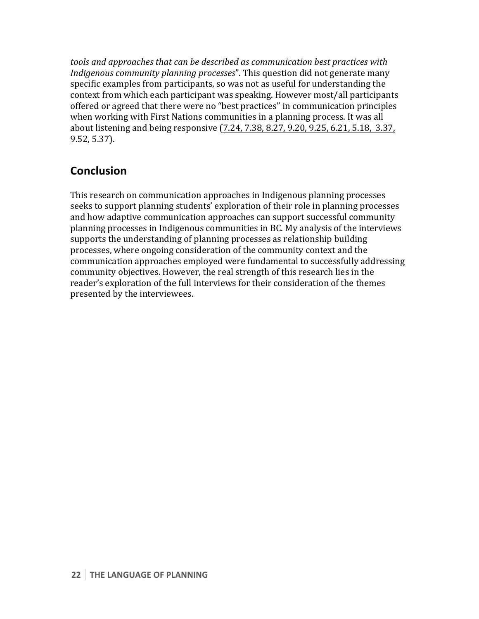*tools* and approaches that can be described as communication best practices with *Indigenous community planning processes*". This question did not generate many specific examples from participants, so was not as useful for understanding the context from which each participant was speaking. However most/all participants offered or agreed that there were no "best practices" in communication principles when working with First Nations communities in a planning process. It was all about listening and being responsive (7.24, 7.38, 8.27, 9.20, 9.25, 6.21, 5.18, 3.37, 9.52, 5.37).

## **Conclusion**

This research on communication approaches in Indigenous planning processes seeks to support planning students' exploration of their role in planning processes and how adaptive communication approaches can support successful community planning processes in Indigenous communities in BC. My analysis of the interviews supports the understanding of planning processes as relationship building processes, where ongoing consideration of the community context and the communication approaches employed were fundamental to successfully addressing community objectives. However, the real strength of this research lies in the reader's exploration of the full interviews for their consideration of the themes presented by the interviewees.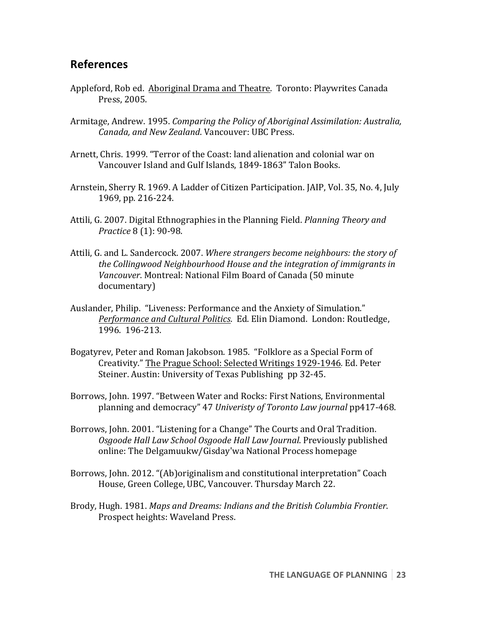## **References**

- Appleford, Rob ed. Aboriginal Drama and Theatre. Toronto: Playwrites Canada Press, 2005.
- Armitage, Andrew. 1995. *Comparing the Policy of Aboriginal Assimilation: Australia, Canada, and New Zealand.* Vancouver: UBC Press.
- Arnett, Chris. 1999. "Terror of the Coast: land alienation and colonial war on Vancouver Island and Gulf Islands, 1849-1863" Talon Books.
- Arnstein, Sherry R. 1969. A Ladder of Citizen Participation. [AIP, Vol. 35, No. 4, July 1969, pp. 216-224.
- Attili, G. 2007. Digital Ethnographies in the Planning Field. *Planning Theory and Practice* 8 (1): 90-98.
- Attili, G. and L. Sandercock. 2007. Where strangers become neighbours: the story of the Collingwood Neighbourhood House and the integration of immigrants in Vancouver. Montreal: National Film Board of Canada (50 minute) documentary)
- Auslander, Philip. "Liveness: Performance and the Anxiety of Simulation." *Performance and Cultural Politics.* Ed. Elin Diamond. London: Routledge, 1996. 196-213.
- Bogatyrev, Peter and Roman Jakobson. 1985. "Folklore as a Special Form of Creativity." The Prague School: Selected Writings 1929-1946. Ed. Peter Steiner. Austin: University of Texas Publishing pp 32-45.
- Borrows, John. 1997. "Between Water and Rocks: First Nations, Environmental planning and democracy" 47 Univeristy of Toronto Law journal pp417-468.
- Borrows, John. 2001. "Listening for a Change" The Courts and Oral Tradition. *Osgoode Hall Law School Osgoode Hall Law Journal*. Previously published online: The Delgamuukw/Gisday'wa National Process homepage
- Borrows, John. 2012. "(Ab)originalism and constitutional interpretation" Coach House, Green College, UBC, Vancouver. Thursday March 22.
- Brody, Hugh. 1981. *Maps and Dreams: Indians and the British Columbia Frontier.* Prospect heights: Waveland Press.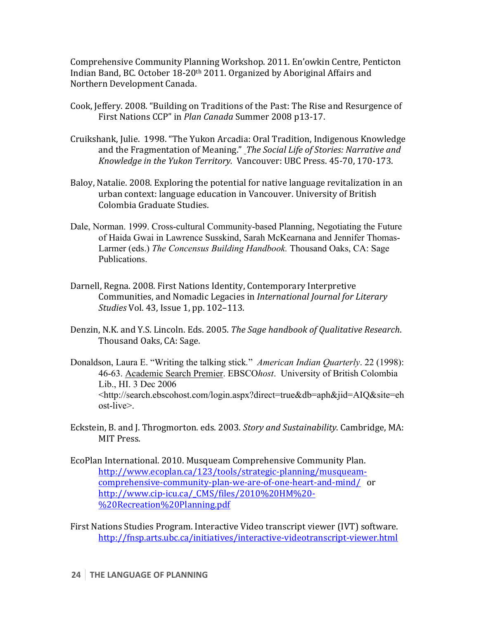Comprehensive Community Planning Workshop. 2011. En'owkin Centre, Penticton Indian Band, BC. October 18-20<sup>th</sup> 2011. Organized by Aboriginal Affairs and Northern Development Canada.

- Cook, Jeffery. 2008. "Building on Traditions of the Past: The Rise and Resurgence of First Nations CCP" in *Plan Canada* Summer 2008 p13-17.
- Cruikshank, Julie. 1998. "The Yukon Arcadia: Oral Tradition, Indigenous Knowledge and the Fragmentation of Meaning." The Social Life of Stories: Narrative and *Knowledge in the Yukon Territory.* Vancouver: UBC Press. 45-70, 170-173.
- Baloy, Natalie. 2008. Exploring the potential for native language revitalization in an urban context: language education in Vancouver. University of British Colombia Graduate Studies.
- Dale, Norman. 1999. Cross-cultural Community-based Planning, Negotiating the Future of Haida Gwai in Lawrence Susskind, Sarah McKearnana and Jennifer Thomas-Larmer (eds.) *The Concensus Building Handbook.* Thousand Oaks, CA: Sage Publications.
- Darnell, Regna. 2008. First Nations Identity, Contemporary Interpretive Communities, and Nomadic Legacies in *International Journal for Literary Studies* Vol. 43, *Issue* 1, pp. 102–113.
- Denzin, N.K. and Y.S. Lincoln. Eds. 2005. *The Sage handbook of Qualitative Research*. Thousand Oaks, CA: Sage.
- Donaldson, Laura E. "Writing the talking stick*.*" *American Indian Quarterly*. 22 (1998): 46-63. Academic Search Premier. EBSCO*host*. University of British Colombia Lib., HI. 3 Dec 2006 <http://search.ebscohost.com/login.aspx?direct=true&db=aph&jid=AIQ&site=eh ost-live>.
- Eckstein, B. and J. Throgmorton. eds. 2003. Story and Sustainability. Cambridge, MA: MIT Press.
- EcoPlan International. 2010. Musqueam Comprehensive Community Plan. http://www.ecoplan.ca/123/tools/strategic-planning/musqueamcomprehensive-community-plan-we-are-of-one-heart-and-mind/ or http://www.cip-icu.ca/\_CMS/files/2010%20HM%20- %20Recreation%20Planning.pdf
- First Nations Studies Program. Interactive Video transcript viewer (IVT) software. http://fnsp.arts.ubc.ca/initiatives/interactive-videotranscript-viewer.html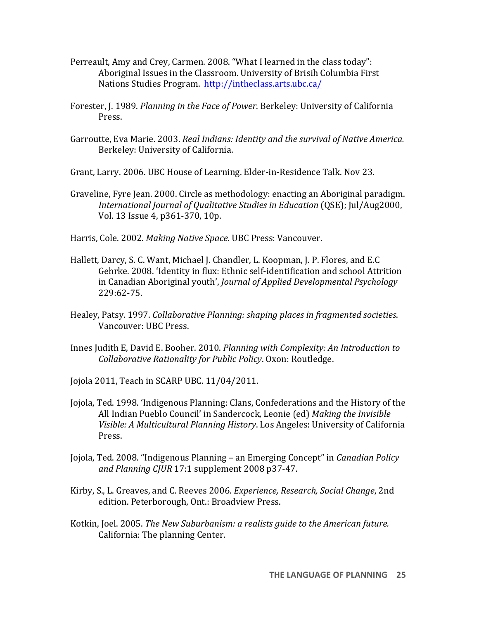- Perreault, Amy and Crey, Carmen. 2008. "What I learned in the class today": Aboriginal Issues in the Classroom. University of Brisih Columbia First Nations Studies Program. http://intheclass.arts.ubc.ca/
- Forester, J. 1989. *Planning in the Face of Power*. Berkeley: University of California Press.
- Garroutte, Eva Marie. 2003. *Real Indians: Identity and the survival of Native America.* Berkeley: University of California.

Grant, Larry. 2006. UBC House of Learning. Elder-in-Residence Talk. Nov 23.

Graveline, Fyre Jean. 2000. Circle as methodology: enacting an Aboriginal paradigm. *International Journal of Qualitative Studies in Education* (QSE); Jul/Aug2000, Vol. 13 Issue 4, p361-370, 10p.

Harris, Cole. 2002. *Making Native Space.* UBC Press: Vancouver.

- Hallett, Darcy, S. C. Want, Michael J. Chandler, L. Koopman, J. P. Flores, and E.C. Gehrke. 2008. 'Identity in flux: Ethnic self-identification and school Attrition in Canadian Aboriginal youth', *Journal of Applied Developmental Psychology* 229:62-75.
- Healey, Patsy. 1997. *Collaborative Planning: shaping places in fragmented societies.* Vancouver: UBC Press.
- Innes Judith E, David E. Booher. 2010. *Planning with Complexity: An Introduction to Collaborative Rationality for Public Policy.* Oxon: Routledge.
- Jojola 2011, Teach in SCARP UBC. 11/04/2011.
- Jojola, Ted. 1998. 'Indigenous Planning: Clans, Confederations and the History of the All Indian Pueblo Council' in Sandercock, Leonie (ed) *Making the Invisible Visible: A Multicultural Planning History.* Los Angeles: University of California Press.
- Jojola, Ted. 2008. "Indigenous Planning an Emerging Concept" in *Canadian Policy* and Planning CJUR 17:1 supplement 2008 p37-47.
- Kirby, S., L. Greaves, and C. Reeves 2006. *Experience, Research, Social Change*, 2nd edition. Peterborough, Ont.: Broadview Press.
- Kotkin, Joel. 2005. *The New Suburbanism: a realists guide to the American future.* California: The planning Center.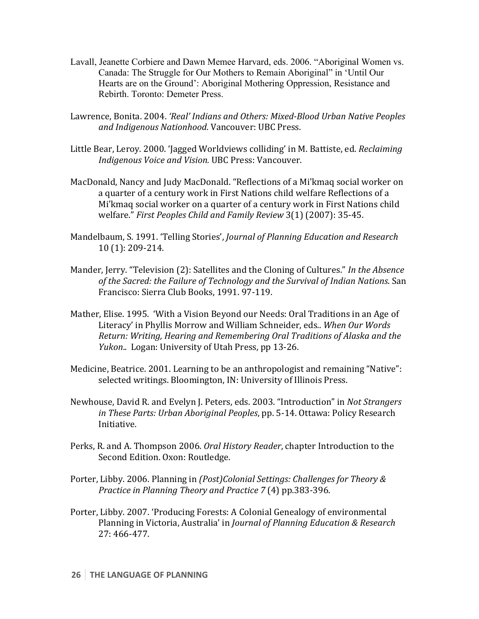- Lavall, Jeanette Corbiere and Dawn Memee Harvard, eds. 2006. "Aboriginal Women vs. Canada: The Struggle for Our Mothers to Remain Aboriginal" in 'Until Our Hearts are on the Ground': Aboriginal Mothering Oppression, Resistance and Rebirth. Toronto: Demeter Press.
- Lawrence, Bonita. 2004. 'Real' Indians and Others: Mixed-Blood Urban Native Peoples and Indigenous Nationhood. Vancouver: UBC Press.
- Little Bear, Leroy. 2000. 'Jagged Worldviews colliding' in M. Battiste, ed. *Reclaiming Indigenous Voice and Vision. UBC Press: Vancouver.*
- MacDonald, Nancy and Judy MacDonald. "Reflections of a Mi'kmaq social worker on a quarter of a century work in First Nations child welfare Reflections of a Mi'kmaq social worker on a quarter of a century work in First Nations child welfare." First Peoples Child and Family Review 3(1) (2007): 35-45.
- Mandelbaum, S. 1991. 'Telling Stories', *Journal of Planning Education and Research* 10 (1): 209-214.
- Mander, Jerry. "Television (2): Satellites and the Cloning of Cultures." In the Absence of the Sacred: the Failure of Technology and the Survival of Indian Nations. San Francisco: Sierra Club Books, 1991. 97-119.
- Mather, Elise. 1995. 'With a Vision Beyond our Needs: Oral Traditions in an Age of Literacy' in Phyllis Morrow and William Schneider, eds.. When Our Words *Return: Writing, Hearing and Remembering Oral Traditions of Alaska and the Yukon..* Logan: University of Utah Press, pp 13-26.
- Medicine, Beatrice. 2001. Learning to be an anthropologist and remaining "Native": selected writings. Bloomington, IN: University of Illinois Press.
- Newhouse, David R. and Evelyn J. Peters, eds. 2003. "Introduction" in *Not Strangers in These Parts: Urban Aboriginal Peoples*, pp. 5-14. Ottawa: Policy Research Initiative.
- Perks, R. and A. Thompson 2006. *Oral History Reader*, chapter Introduction to the Second Edition. Oxon: Routledge.
- Porter, Libby. 2006. Planning in *(Post)Colonial Settings: Challenges for Theory & Practice in Planning Theory and Practice* 7 (4) pp.383-396.
- Porter, Libby. 2007. 'Producing Forests: A Colonial Genealogy of environmental Planning in Victoria, Australia' in *Journal of Planning Education & Research* 27: 466-477.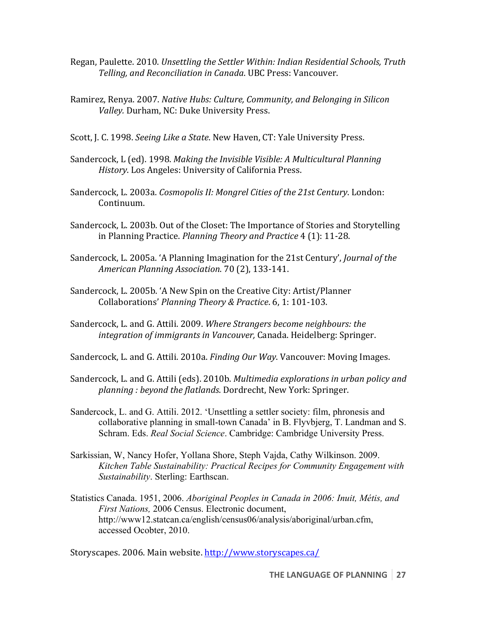- Regan, Paulette. 2010. *Unsettling the Settler Within: Indian Residential Schools, Truth Telling, and Reconciliation in Canada*. UBC Press: Vancouver.
- Ramirez, Renya. 2007. *Native Hubs: Culture, Community, and Belonging in Silicon* Valley. Durham, NC: Duke University Press.
- Scott, J. C. 1998. *Seeing Like a State*. New Haven, CT: Yale University Press.
- Sandercock, L (ed). 1998. Making the Invisible Visible: A Multicultural Planning *History*. Los Angeles: University of California Press.
- Sandercock, L. 2003a. *Cosmopolis II: Mongrel Cities of the 21st Century*. London: Continuum.
- Sandercock, L. 2003b. Out of the Closet: The Importance of Stories and Storytelling in Planning Practice. *Planning Theory and Practice* 4 (1): 11-28.
- Sandercock, L. 2005a. 'A Planning Imagination for the 21st Century', *Journal of the American Planning Association*. 70 (2), 133-141.
- Sandercock, L. 2005b. 'A New Spin on the Creative City: Artist/Planner Collaborations' Planning Theory & Practice. 6, 1: 101-103.
- Sandercock, L. and G. Attili. 2009. Where Strangers become neighbours: the integration of immigrants in Vancouver, Canada. Heidelberg: Springer.
- Sandercock, L. and G. Attili. 2010a. *Finding Our Way*. Vancouver: Moving Images.
- Sandercock, L. and G. Attili (eds). 2010b. *Multimedia explorations in urban policy and* planning : beyond the flatlands. Dordrecht, New York: Springer.
- Sandercock, L. and G. Attili. 2012. 'Unsettling a settler society: film, phronesis and collaborative planning in small-town Canada' in B. Flyvbjerg, T. Landman and S. Schram. Eds. *Real Social Science*. Cambridge: Cambridge University Press.
- Sarkissian, W, Nancy Hofer, Yollana Shore, Steph Vajda, Cathy Wilkinson. 2009. *Kitchen Table Sustainability: Practical Recipes for Community Engagement with Sustainability*. Sterling: Earthscan.
- Statistics Canada. 1951, 2006. *Aboriginal Peoples in Canada in 2006: Inuit, Métis, and First Nations,* 2006 Census. Electronic document, http://www12.statcan.ca/english/census06/analysis/aboriginal/urban.cfm, accessed Ocobter, 2010.

Storyscapes. 2006. Main website. http://www.storyscapes.ca/